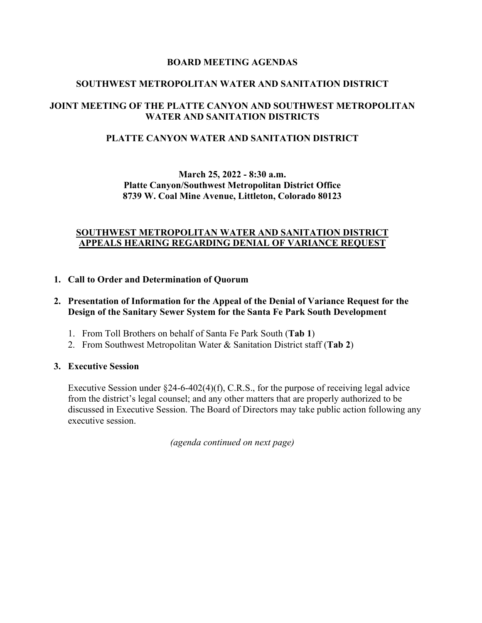### **BOARD MEETING AGENDAS**

### **SOUTHWEST METROPOLITAN WATER AND SANITATION DISTRICT**

## **JOINT MEETING OF THE PLATTE CANYON AND SOUTHWEST METROPOLITAN WATER AND SANITATION DISTRICTS**

### **PLATTE CANYON WATER AND SANITATION DISTRICT**

## **March 25, 2022 - 8:30 a.m. Platte Canyon/Southwest Metropolitan District Office 8739 W. Coal Mine Avenue, Littleton, Colorado 80123**

### **SOUTHWEST METROPOLITAN WATER AND SANITATION DISTRICT APPEALS HEARING REGARDING DENIAL OF VARIANCE REQUEST**

#### **1. Call to Order and Determination of Quorum**

#### **2. Presentation of Information for the Appeal of the Denial of Variance Request for the Design of the Sanitary Sewer System for the Santa Fe Park South Development**

- 1. From Toll Brothers on behalf of Santa Fe Park South (**Tab 1**)
- 2. From Southwest Metropolitan Water & Sanitation District staff (**Tab 2**)

#### **3. Executive Session**

Executive Session under  $\S$ 24-6-402(4)(f), C.R.S., for the purpose of receiving legal advice from the district's legal counsel; and any other matters that are properly authorized to be discussed in Executive Session. The Board of Directors may take public action following any executive session.

*(agenda continued on next page)*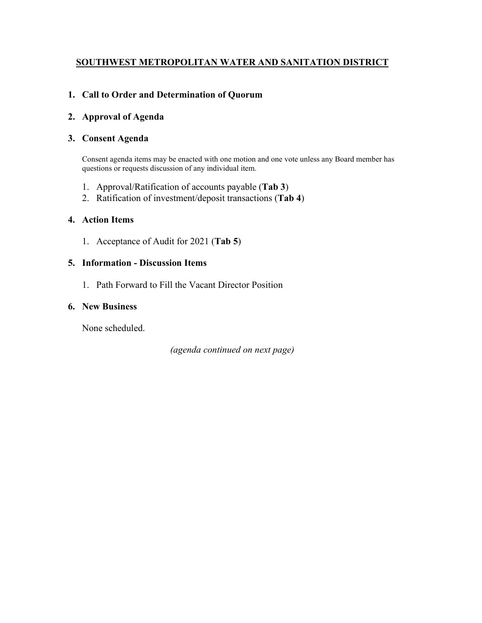# **SOUTHWEST METROPOLITAN WATER AND SANITATION DISTRICT**

# **1. Call to Order and Determination of Quorum**

### **2. Approval of Agenda**

### **3. Consent Agenda**

Consent agenda items may be enacted with one motion and one vote unless any Board member has questions or requests discussion of any individual item.

- 1. Approval/Ratification of accounts payable (**Tab 3**)
- 2. Ratification of investment/deposit transactions (**Tab 4**)

### **4. Action Items**

1. Acceptance of Audit for 2021 (**Tab 5**)

#### **5. Information - Discussion Items**

1. Path Forward to Fill the Vacant Director Position

#### **6. New Business**

None scheduled.

*(agenda continued on next page)*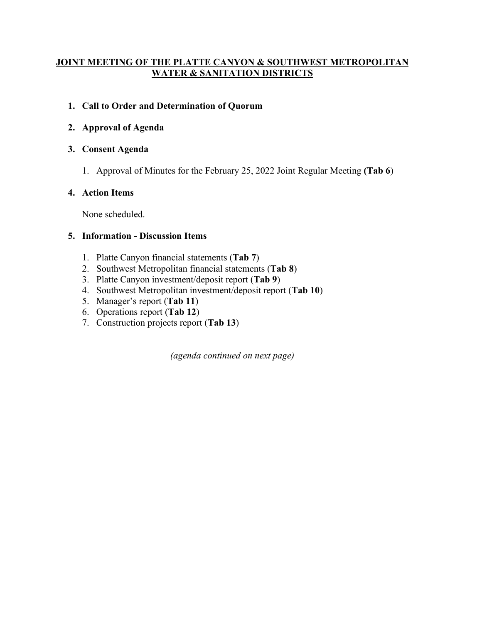# **JOINT MEETING OF THE PLATTE CANYON & SOUTHWEST METROPOLITAN WATER & SANITATION DISTRICTS**

# **1. Call to Order and Determination of Quorum**

# **2. Approval of Agenda**

## **3. Consent Agenda**

1. Approval of Minutes for the February 25, 2022 Joint Regular Meeting **(Tab 6**)

# **4. Action Items**

None scheduled.

## **5. Information - Discussion Items**

- 1. Platte Canyon financial statements (**Tab 7**)
- 2. Southwest Metropolitan financial statements (**Tab 8**)
- 3. Platte Canyon investment/deposit report (**Tab 9**)
- 4. Southwest Metropolitan investment/deposit report (**Tab 10**)
- 5. Manager's report (**Tab 11**)
- 6. Operations report (**Tab 12**)
- 7. Construction projects report (**Tab 13**)

*(agenda continued on next page)*